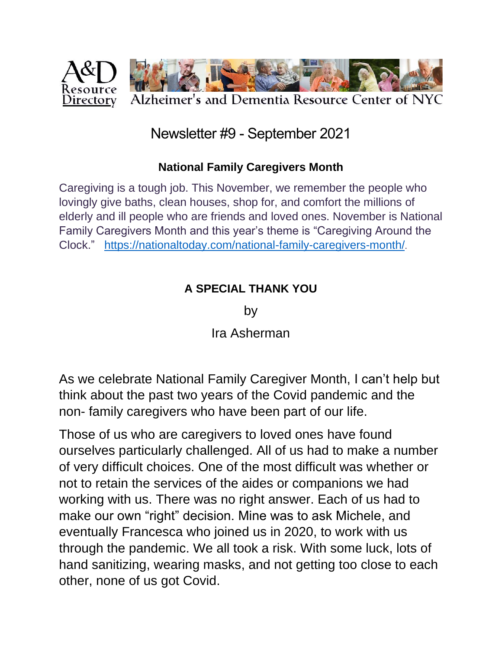

# Newsletter #9 - September 2021

#### **National Family Caregivers Month**

Caregiving is a tough job. This November, we remember the people who lovingly give baths, clean houses, shop for, and comfort the millions of elderly and ill people who are friends and loved ones. November is National Family Caregivers Month and this year's theme is "Caregiving Around the Clock." <https://nationaltoday.com/national-family-caregivers-month/>.

#### **A SPECIAL THANK YOU**

by

Ira Asherman

As we celebrate National Family Caregiver Month, I can't help but think about the past two years of the Covid pandemic and the non- family caregivers who have been part of our life.

Those of us who are caregivers to loved ones have found ourselves particularly challenged. All of us had to make a number of very difficult choices. One of the most difficult was whether or not to retain the services of the aides or companions we had working with us. There was no right answer. Each of us had to make our own "right" decision. Mine was to ask Michele, and eventually Francesca who joined us in 2020, to work with us through the pandemic. We all took a risk. With some luck, lots of hand sanitizing, wearing masks, and not getting too close to each other, none of us got Covid.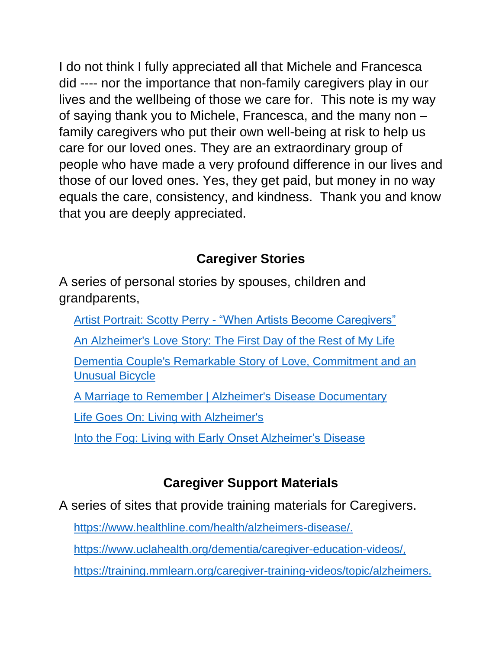I do not think I fully appreciated all that Michele and Francesca did ---- nor the importance that non-family caregivers play in our lives and the wellbeing of those we care for. This note is my way of saying thank you to Michele, Francesca, and the many non – family caregivers who put their own well-being at risk to help us care for our loved ones. They are an extraordinary group of people who have made a very profound difference in our lives and those of our loved ones. Yes, they get paid, but money in no way equals the care, consistency, and kindness. Thank you and know that you are deeply appreciated.

# **Caregiver Stories**

A series of personal stories by spouses, children and grandparents,

- Artist Portrait: Scotty Perry ["When Artists Become Caregivers"](https://dementiaspring.org/featured-artist/scotty-perry/)
- [An Alzheimer's Love Story: The First Day of the Rest of My Life](https://www.youtube.com/watch?v=0T6UbR-pR6U&t=71s)

[Dementia Couple's Remarkable Story of Love, Commitment and an](https://www.youtube.com/watch?v=OiyYgcWEsY8)  [Unusual Bicycle](https://www.youtube.com/watch?v=OiyYgcWEsY8)

A Marriage [to Remember | Alzheimer's Disease Documentary](https://www.youtube.com/watch?v=PZu51MnqfF4)

[Life Goes On: Living with Alzheimer's](https://www.youtube.com/watch?v=HqJJwmlMr9s)

[Into the Fog: Living with Early Onset Alzheimer's Disease](https://www.webmd.com/alzheimers/video/into-the-fog)

## **Caregiver Support Materials**

A series of sites that provide training materials for Caregivers.

<https://www.healthline.com/health/alzheimers-disease/>.

<https://www.uclahealth.org/dementia/caregiver-education-videos/>,

<https://training.mmlearn.org/caregiver-training-videos/topic/alzheimers>.